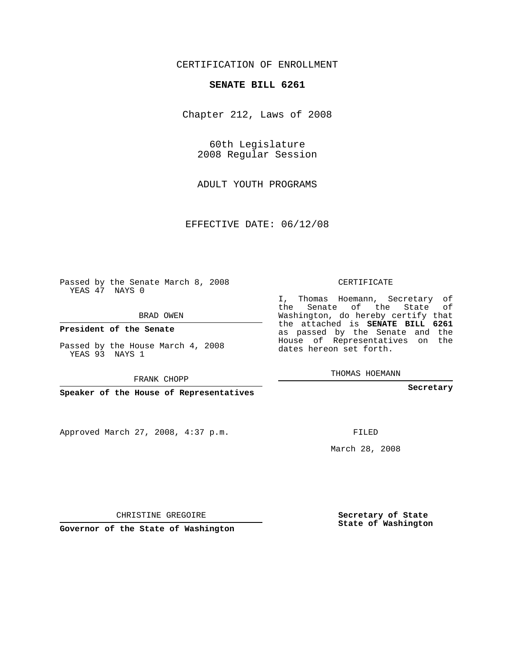## CERTIFICATION OF ENROLLMENT

### **SENATE BILL 6261**

Chapter 212, Laws of 2008

60th Legislature 2008 Regular Session

ADULT YOUTH PROGRAMS

EFFECTIVE DATE: 06/12/08

Passed by the Senate March 8, 2008 YEAS 47 NAYS 0

BRAD OWEN

**President of the Senate**

Passed by the House March 4, 2008 YEAS 93 NAYS 1

FRANK CHOPP

**Speaker of the House of Representatives**

Approved March 27, 2008, 4:37 p.m.

CERTIFICATE

I, Thomas Hoemann, Secretary of the Senate of the State of Washington, do hereby certify that the attached is **SENATE BILL 6261** as passed by the Senate and the House of Representatives on the dates hereon set forth.

THOMAS HOEMANN

**Secretary**

FILED

March 28, 2008

**Secretary of State State of Washington**

CHRISTINE GREGOIRE

**Governor of the State of Washington**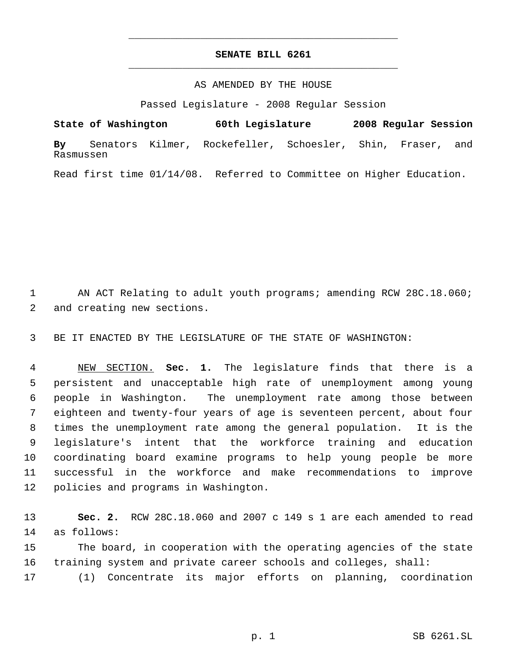# **SENATE BILL 6261** \_\_\_\_\_\_\_\_\_\_\_\_\_\_\_\_\_\_\_\_\_\_\_\_\_\_\_\_\_\_\_\_\_\_\_\_\_\_\_\_\_\_\_\_\_

\_\_\_\_\_\_\_\_\_\_\_\_\_\_\_\_\_\_\_\_\_\_\_\_\_\_\_\_\_\_\_\_\_\_\_\_\_\_\_\_\_\_\_\_\_

### AS AMENDED BY THE HOUSE

Passed Legislature - 2008 Regular Session

**State of Washington 60th Legislature 2008 Regular Session By** Senators Kilmer, Rockefeller, Schoesler, Shin, Fraser, and Rasmussen

Read first time 01/14/08. Referred to Committee on Higher Education.

 AN ACT Relating to adult youth programs; amending RCW 28C.18.060; and creating new sections.

BE IT ENACTED BY THE LEGISLATURE OF THE STATE OF WASHINGTON:

 NEW SECTION. **Sec. 1.** The legislature finds that there is a persistent and unacceptable high rate of unemployment among young people in Washington. The unemployment rate among those between eighteen and twenty-four years of age is seventeen percent, about four times the unemployment rate among the general population. It is the legislature's intent that the workforce training and education coordinating board examine programs to help young people be more successful in the workforce and make recommendations to improve policies and programs in Washington.

 **Sec. 2.** RCW 28C.18.060 and 2007 c 149 s 1 are each amended to read as follows:

 The board, in cooperation with the operating agencies of the state training system and private career schools and colleges, shall:

(1) Concentrate its major efforts on planning, coordination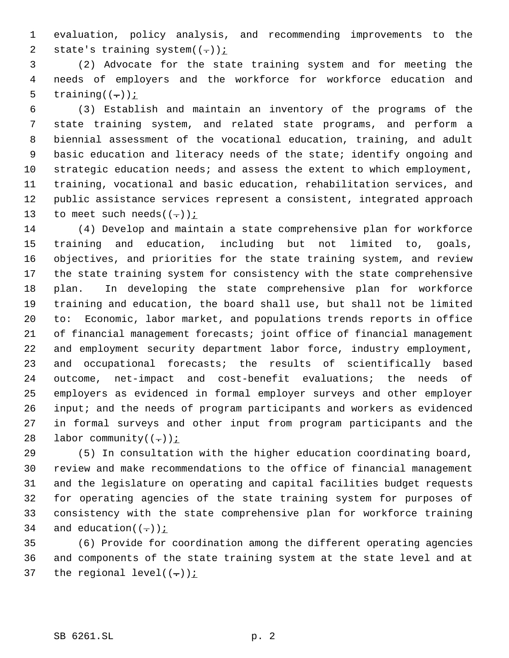evaluation, policy analysis, and recommending improvements to the 2 state's training system $((-))$  *i* 

 (2) Advocate for the state training system and for meeting the needs of employers and the workforce for workforce education and 5 training( $(-)$ );

 (3) Establish and maintain an inventory of the programs of the state training system, and related state programs, and perform a biennial assessment of the vocational education, training, and adult basic education and literacy needs of the state; identify ongoing and strategic education needs; and assess the extent to which employment, training, vocational and basic education, rehabilitation services, and public assistance services represent a consistent, integrated approach 13 to meet such needs( $(-)$ );

 (4) Develop and maintain a state comprehensive plan for workforce training and education, including but not limited to, goals, objectives, and priorities for the state training system, and review the state training system for consistency with the state comprehensive plan. In developing the state comprehensive plan for workforce training and education, the board shall use, but shall not be limited to: Economic, labor market, and populations trends reports in office of financial management forecasts; joint office of financial management and employment security department labor force, industry employment, and occupational forecasts; the results of scientifically based outcome, net-impact and cost-benefit evaluations; the needs of employers as evidenced in formal employer surveys and other employer input; and the needs of program participants and workers as evidenced in formal surveys and other input from program participants and the 28 labor community( $(-)$ );

 (5) In consultation with the higher education coordinating board, review and make recommendations to the office of financial management and the legislature on operating and capital facilities budget requests for operating agencies of the state training system for purposes of consistency with the state comprehensive plan for workforce training 34 and education( $(-)$ );

 (6) Provide for coordination among the different operating agencies and components of the state training system at the state level and at 37 the regional level( $(-)$ );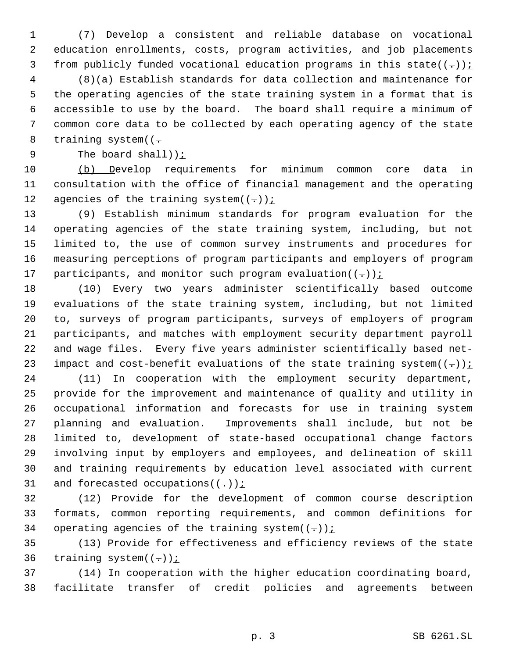(7) Develop a consistent and reliable database on vocational education enrollments, costs, program activities, and job placements 3 from publicly funded vocational education programs in this state( $(-)$ );

 (8)(a) Establish standards for data collection and maintenance for the operating agencies of the state training system in a format that is accessible to use by the board. The board shall require a minimum of common core data to be collected by each operating agency of the state 8 training system( $(-$ 

9 The board shall));

 (b) Develop requirements for minimum common core data in consultation with the office of financial management and the operating 12 agencies of the training system $((-))$  *i* 

 (9) Establish minimum standards for program evaluation for the operating agencies of the state training system, including, but not limited to, the use of common survey instruments and procedures for measuring perceptions of program participants and employers of program 17 participants, and monitor such program evaluation( $(-)$ );

 (10) Every two years administer scientifically based outcome evaluations of the state training system, including, but not limited to, surveys of program participants, surveys of employers of program participants, and matches with employment security department payroll and wage files. Every five years administer scientifically based net-23 impact and cost-benefit evaluations of the state training system $((-))$  i

 (11) In cooperation with the employment security department, provide for the improvement and maintenance of quality and utility in occupational information and forecasts for use in training system planning and evaluation. Improvements shall include, but not be limited to, development of state-based occupational change factors involving input by employers and employees, and delineation of skill and training requirements by education level associated with current 31 and forecasted occupations( $(-)$ );

 (12) Provide for the development of common course description formats, common reporting requirements, and common definitions for 34 operating agencies of the training system $((-))$  *i* 

 (13) Provide for effectiveness and efficiency reviews of the state 36 training system $((-))$ ;

 (14) In cooperation with the higher education coordinating board, facilitate transfer of credit policies and agreements between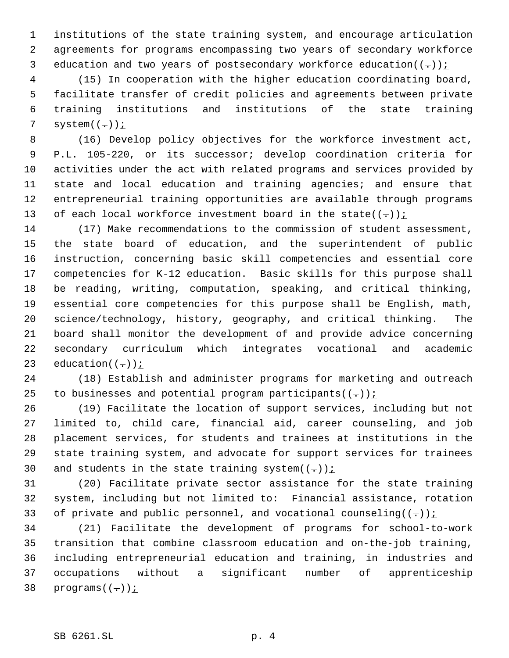institutions of the state training system, and encourage articulation agreements for programs encompassing two years of secondary workforce 3 education and two years of postsecondary workforce education $((-))$ ;

 (15) In cooperation with the higher education coordinating board, facilitate transfer of credit policies and agreements between private training institutions and institutions of the state training 7 system $((-))$ ;

 (16) Develop policy objectives for the workforce investment act, P.L. 105-220, or its successor; develop coordination criteria for activities under the act with related programs and services provided by state and local education and training agencies; and ensure that entrepreneurial training opportunities are available through programs 13 of each local workforce investment board in the state( $(-)$ );

 (17) Make recommendations to the commission of student assessment, the state board of education, and the superintendent of public instruction, concerning basic skill competencies and essential core competencies for K-12 education. Basic skills for this purpose shall be reading, writing, computation, speaking, and critical thinking, essential core competencies for this purpose shall be English, math, science/technology, history, geography, and critical thinking. The board shall monitor the development of and provide advice concerning secondary curriculum which integrates vocational and academic 23 education $((-))$  *i* 

 (18) Establish and administer programs for marketing and outreach 25 to businesses and potential program participants( $(-)$ );

 (19) Facilitate the location of support services, including but not limited to, child care, financial aid, career counseling, and job placement services, for students and trainees at institutions in the state training system, and advocate for support services for trainees 30 and students in the state training system $((-))$  i

 (20) Facilitate private sector assistance for the state training system, including but not limited to: Financial assistance, rotation 33 of private and public personnel, and vocational counseling( $(-)$ ):

 (21) Facilitate the development of programs for school-to-work transition that combine classroom education and on-the-job training, including entrepreneurial education and training, in industries and occupations without a significant number of apprenticeship 38 programs $((-))$  *i*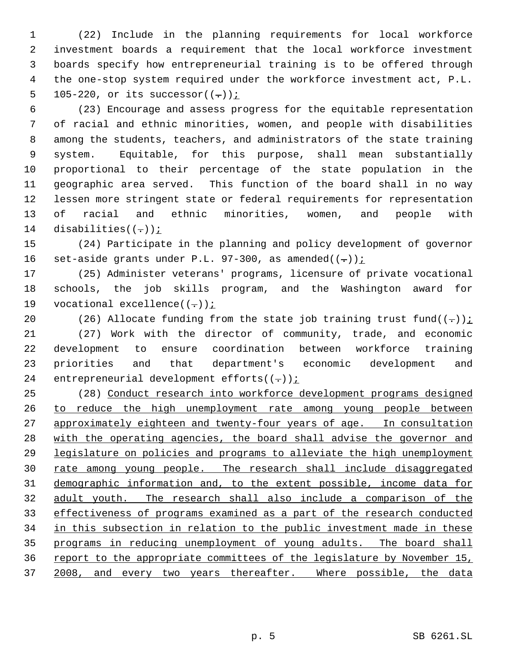(22) Include in the planning requirements for local workforce investment boards a requirement that the local workforce investment boards specify how entrepreneurial training is to be offered through the one-stop system required under the workforce investment act, P.L. 5 105-220, or its successor $((-))$  *i* 

 (23) Encourage and assess progress for the equitable representation of racial and ethnic minorities, women, and people with disabilities among the students, teachers, and administrators of the state training system. Equitable, for this purpose, shall mean substantially proportional to their percentage of the state population in the geographic area served. This function of the board shall in no way lessen more stringent state or federal requirements for representation of racial and ethnic minorities, women, and people with 14 disabilities( $(-)$ );

 (24) Participate in the planning and policy development of governor 16 set-aside grants under P.L. 97-300, as amended $((-))$  i

 (25) Administer veterans' programs, licensure of private vocational schools, the job skills program, and the Washington award for 19 vocational excellence( $(-)$ );

20 (26) Allocate funding from the state job training trust fund( $(-)$ ): (27) Work with the director of community, trade, and economic development to ensure coordination between workforce training priorities and that department's economic development and 24 entrepreneurial development efforts $((-))$  *i* 

 (28) Conduct research into workforce development programs designed to reduce the high unemployment rate among young people between 27 approximately eighteen and twenty-four years of age. In consultation with the operating agencies, the board shall advise the governor and legislature on policies and programs to alleviate the high unemployment 30 rate among young people. The research shall include disaggregated demographic information and, to the extent possible, income data for adult youth. The research shall also include a comparison of the effectiveness of programs examined as a part of the research conducted in this subsection in relation to the public investment made in these programs in reducing unemployment of young adults. The board shall report to the appropriate committees of the legislature by November 15, 37 2008, and every two years thereafter. Where possible, the data